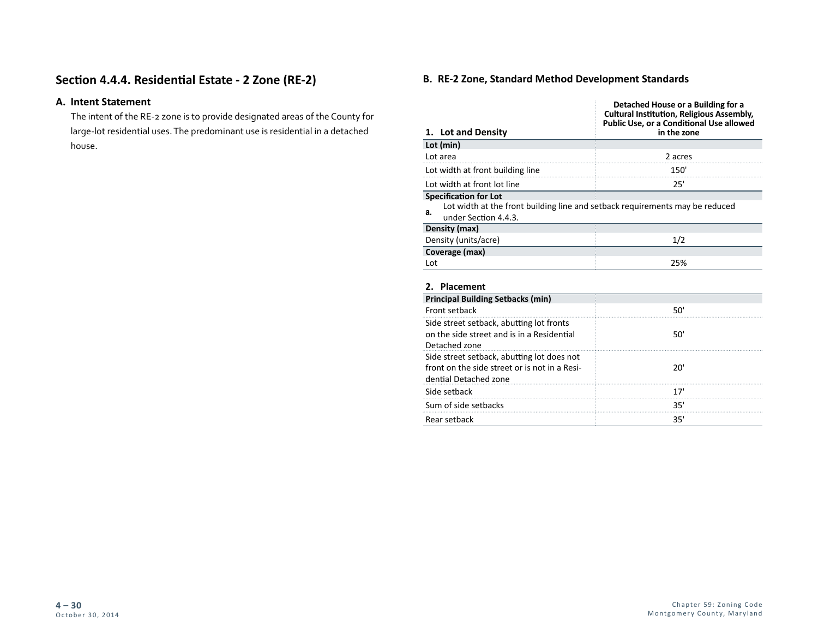# **Section 4.4.4. Residential Estate - 2 Zone (RE-2)**

# **A. Intent Statement**

The intent of the RE-2 zone is to provide designated areas of the County for large-lot residential uses. The predominant use is residential in a detached house.

## **B. RE-2 Zone, Standard Method Development Standards**

|                                                                                                                                            | Detached House or a Building for a<br><b>Cultural Institution, Religious Assembly,</b><br>Public Use, or a Conditional Use allowed |
|--------------------------------------------------------------------------------------------------------------------------------------------|------------------------------------------------------------------------------------------------------------------------------------|
| 1. Lot and Density                                                                                                                         | in the zone                                                                                                                        |
| Lot (min)                                                                                                                                  |                                                                                                                                    |
| Lot area                                                                                                                                   | 2 acres                                                                                                                            |
| Lot width at front building line                                                                                                           | 150'                                                                                                                               |
| Lot width at front lot line                                                                                                                | 25'                                                                                                                                |
| <b>Specification for Lot</b><br>Lot width at the front building line and setback requirements may be reduced<br>а.<br>under Section 4.4.3. |                                                                                                                                    |
| Density (max)                                                                                                                              |                                                                                                                                    |
| Density (units/acre)                                                                                                                       | 1/2                                                                                                                                |
| Coverage (max)                                                                                                                             |                                                                                                                                    |
| Lot                                                                                                                                        | 25%                                                                                                                                |
| 2. Placement                                                                                                                               |                                                                                                                                    |
| <b>Principal Building Setbacks (min)</b>                                                                                                   |                                                                                                                                    |
| Front setback                                                                                                                              | 50'                                                                                                                                |
| Side street setback, abutting lot fronts<br>on the side street and is in a Residential<br>Detached zone                                    | 50'                                                                                                                                |
| Side street setback, abutting lot does not<br>front on the side street or is not in a Resi-<br>dential Detached zone                       | 20'                                                                                                                                |
| Side setback                                                                                                                               | 17'                                                                                                                                |
| Sum of side setbacks                                                                                                                       | 35'                                                                                                                                |
| Rear setback                                                                                                                               | 35'                                                                                                                                |